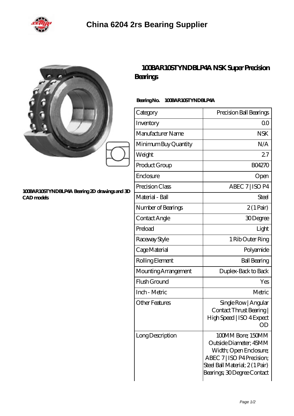

|        | Bea            |
|--------|----------------|
| 6<br>ĉ | Bee            |
|        | Ca             |
|        | Im             |
|        | M <sub>c</sub> |
|        | Mi             |
|        | W              |
|        | Prr            |

## **[100BAR10STYNDBLP4A Bearing 2D drawings and 3D](https://hellokavita.net/pic-702623.html) [CAD models](https://hellokavita.net/pic-702623.html)**

## **[100BAR10STYNDBLP4A NSK Super Precision](https://hellokavita.net/super-precision-bearings/100bar10styndblp4a.html) [Bearings](https://hellokavita.net/super-precision-bearings/100bar10styndblp4a.html)**

## **Bearing No. 100BAR10STYNDBLP4A**

| Category             | Precision Ball Bearings                                                                                                                                             |
|----------------------|---------------------------------------------------------------------------------------------------------------------------------------------------------------------|
| Inventory            | Q0                                                                                                                                                                  |
| Manufacturer Name    | <b>NSK</b>                                                                                                                                                          |
| Minimum Buy Quantity | N/A                                                                                                                                                                 |
| Weight               | 27                                                                                                                                                                  |
| Product Group        | <b>BO4270</b>                                                                                                                                                       |
| Enclosure            | Open                                                                                                                                                                |
| Precision Class      | ABEC 7   ISO P4                                                                                                                                                     |
| Material - Ball      | Steel                                                                                                                                                               |
| Number of Bearings   | $2(1 \text{Pair})$                                                                                                                                                  |
| Contact Angle        | 30Degree                                                                                                                                                            |
| Preload              | Light                                                                                                                                                               |
| Raceway Style        | 1 Rib Outer Ring                                                                                                                                                    |
| Cage Material        | Polyamide                                                                                                                                                           |
| Rolling Element      | <b>Ball Bearing</b>                                                                                                                                                 |
| Mounting Arrangement | Duplex-Back to Back                                                                                                                                                 |
| Flush Ground         | Yes                                                                                                                                                                 |
| Inch - Metric        | Metric                                                                                                                                                              |
| Other Features       | Single Row   Angular<br>Contact Thrust Bearing<br>High Speed   ISO 4 Expect                                                                                         |
| Long Description     | 100MM Bore; 150MM<br>Outside Diameter; 45MM<br>Width; Open Enclosure;<br>ABEC 7   ISO P4 Precision;<br>Steel Ball Material; 2(1 Pair)<br>Bearings; 30Degree Contact |